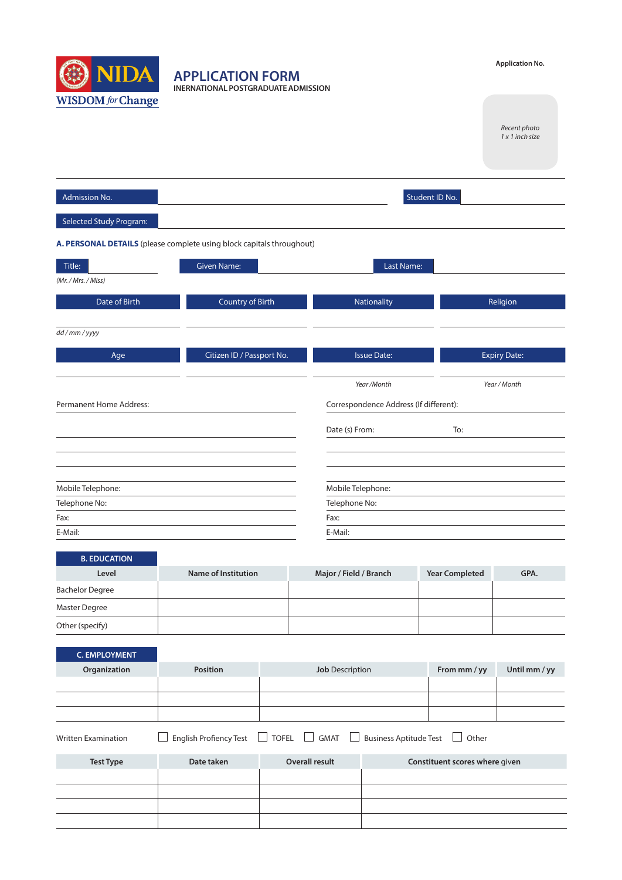

**APPLICATION FORM INERNATIONAL POSTGRADUATE ADMISSION**

## **Application No.**

*Recent photo 1 x 1 inch size*

| Admission No.                                                         |                           | Student ID No.                         |                     |
|-----------------------------------------------------------------------|---------------------------|----------------------------------------|---------------------|
| Selected Study Program:                                               |                           |                                        |                     |
| A. PERSONAL DETAILS (please complete using block capitals throughout) |                           |                                        |                     |
| Title:                                                                | <b>Given Name:</b>        | Last Name:                             |                     |
| (Mr. / Mrs. / Miss)                                                   |                           |                                        |                     |
| Date of Birth                                                         | <b>Country of Birth</b>   | Nationality                            | Religion            |
| dd/mm/yyyy                                                            |                           |                                        |                     |
| Age                                                                   | Citizen ID / Passport No. | <b>Issue Date:</b>                     | <b>Expiry Date:</b> |
|                                                                       |                           |                                        |                     |
|                                                                       |                           | Year /Month                            | Year / Month        |
| <b>Permanent Home Address:</b>                                        |                           | Correspondence Address (If different): |                     |
|                                                                       |                           | Date (s) From:                         | To:                 |
|                                                                       |                           |                                        |                     |
|                                                                       |                           |                                        |                     |
| Mobile Telephone:                                                     |                           | Mobile Telephone:                      |                     |
| Telephone No:                                                         |                           | Telephone No:                          |                     |
| Fax:                                                                  |                           | Fax:                                   |                     |
| E-Mail:                                                               |                           | E-Mail:                                |                     |
|                                                                       |                           |                                        |                     |
| <b>B. EDUCATION</b>                                                   |                           |                                        |                     |

| Level                  | Name of Institution | Major / Field / Branch | <b>Year Completed</b> | GPA. |
|------------------------|---------------------|------------------------|-----------------------|------|
| <b>Bachelor Degree</b> |                     |                        |                       |      |
| Master Degree          |                     |                        |                       |      |
| Other (specify)        |                     |                        |                       |      |

| <b>C. EMPLOYMENT</b>       |                        |                                                        |                               |                                |               |
|----------------------------|------------------------|--------------------------------------------------------|-------------------------------|--------------------------------|---------------|
| Organization               | <b>Position</b>        | <b>Job</b> Description                                 |                               | From mm / yy                   | Until mm / yy |
|                            |                        |                                                        |                               |                                |               |
|                            |                        |                                                        |                               |                                |               |
|                            |                        |                                                        |                               |                                |               |
| <b>Written Examination</b> | English Profiency Test | <b>GMAT</b><br>TOFEL  <br>$\mathbf{r}$<br>$\mathbf{I}$ | <b>Business Aptitude Test</b> | Other                          |               |
| <b>Test Type</b>           | Date taken             | Overall result                                         |                               | Constituent scores where given |               |
|                            |                        |                                                        |                               |                                |               |
|                            |                        |                                                        |                               |                                |               |
|                            |                        |                                                        |                               |                                |               |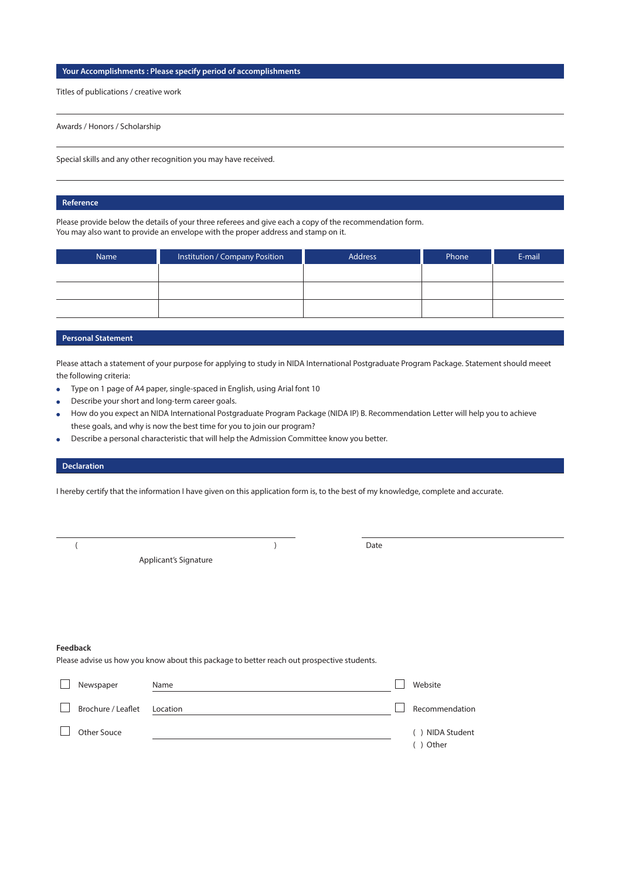## **Your Accomplishments : Please specify period of accomplishments**

Titles of publications / creative work

Awards / Honors / Scholarship

Special skills and any other recognition you may have received.

### **Reference**

Please provide below the details of your three referees and give each a copy of the recommendation form. You may also want to provide an envelope with the proper address and stamp on it.

| Name | Institution / Company Position | Address | Phone | E-mail |
|------|--------------------------------|---------|-------|--------|
|      |                                |         |       |        |
|      |                                |         |       |        |
|      |                                |         |       |        |

# **Personal Statement**

Please attach a statement of your purpose for applying to study in NIDA International Postgraduate Program Package. Statement should meeet the following criteria:

- Type on 1 page of A4 paper, single-spaced in English, using Arial font 10  $\bullet$
- Describe your short and long-term career goals.
- How do you expect an NIDA International Postgraduate Program Package (NIDA IP) B. Recommendation Letter will help you to achieve these goals, and why is now the best time for you to join our program?
- Describe a personal characteristic that will help the Admission Committee know you better.

#### **Declaration**

I hereby certify that the information I have given on this application form is, to the best of my knowledge, complete and accurate.

Applicant's Signature

(and the contract of the contract of the contract of the contract of the contract of the contract of the contract of the contract of the contract of the contract of the contract of the contract of the contract of the contr

### **Feedback**

Please advise us how you know about this package to better reach out prospective students.

| Newspaper                   | Name | Website                     |
|-----------------------------|------|-----------------------------|
| Brochure / Leaflet Location |      | Recommendation              |
| Other Souce                 |      | () NIDA Student<br>() Other |
|                             |      |                             |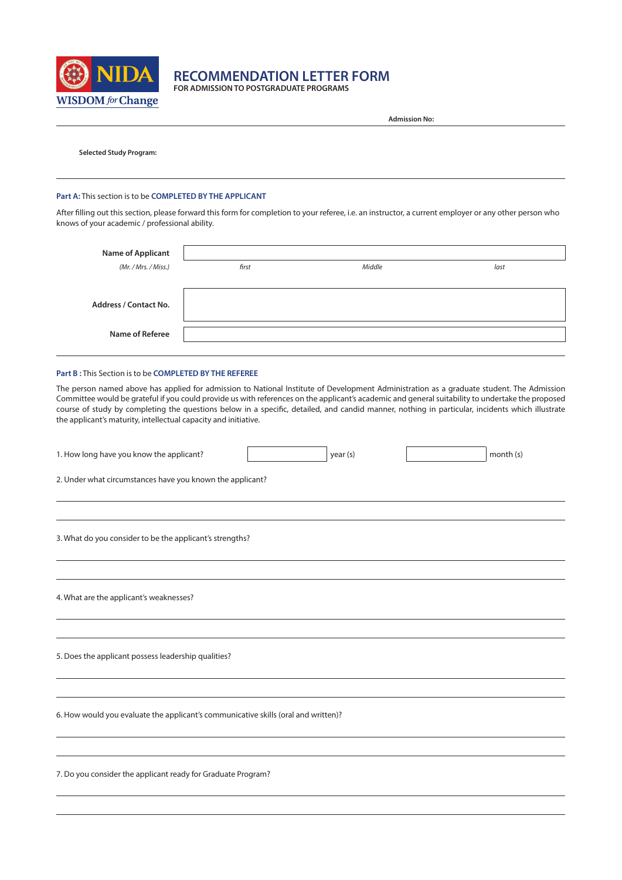

**RECOMMENDATION LETTER FORM**

**FOR ADMISSION TO POSTGRADUATE PROGRAMS**

|                                                                                                                                                                                                           |       |          | <b>Admission No:</b> |                                                                                                                                                                                                                                                                                                                                                                                                                                                   |
|-----------------------------------------------------------------------------------------------------------------------------------------------------------------------------------------------------------|-------|----------|----------------------|---------------------------------------------------------------------------------------------------------------------------------------------------------------------------------------------------------------------------------------------------------------------------------------------------------------------------------------------------------------------------------------------------------------------------------------------------|
| <b>Selected Study Program:</b>                                                                                                                                                                            |       |          |                      |                                                                                                                                                                                                                                                                                                                                                                                                                                                   |
| Part A: This section is to be COMPLETED BY THE APPLICANT                                                                                                                                                  |       |          |                      |                                                                                                                                                                                                                                                                                                                                                                                                                                                   |
| After filling out this section, please forward this form for completion to your referee, i.e. an instructor, a current employer or any other person who<br>knows of your academic / professional ability. |       |          |                      |                                                                                                                                                                                                                                                                                                                                                                                                                                                   |
| <b>Name of Applicant</b>                                                                                                                                                                                  |       |          |                      |                                                                                                                                                                                                                                                                                                                                                                                                                                                   |
| (Mr. / Mrs. / Miss.)                                                                                                                                                                                      | first |          | Middle               | last                                                                                                                                                                                                                                                                                                                                                                                                                                              |
| <b>Address / Contact No.</b>                                                                                                                                                                              |       |          |                      |                                                                                                                                                                                                                                                                                                                                                                                                                                                   |
| Name of Referee                                                                                                                                                                                           |       |          |                      |                                                                                                                                                                                                                                                                                                                                                                                                                                                   |
| Part B: This Section is to be COMPLETED BY THE REFEREE                                                                                                                                                    |       |          |                      |                                                                                                                                                                                                                                                                                                                                                                                                                                                   |
| the applicant's maturity, intellectual capacity and initiative.                                                                                                                                           |       |          |                      | The person named above has applied for admission to National Institute of Development Administration as a graduate student. The Admission<br>Committee would be grateful if you could provide us with references on the applicant's academic and general suitability to undertake the proposed<br>course of study by completing the questions below in a specific, detailed, and candid manner, nothing in particular, incidents which illustrate |
| 1. How long have you know the applicant?                                                                                                                                                                  |       | year (s) |                      | month (s)                                                                                                                                                                                                                                                                                                                                                                                                                                         |
| 2. Under what circumstances have you known the applicant?                                                                                                                                                 |       |          |                      |                                                                                                                                                                                                                                                                                                                                                                                                                                                   |
| 3. What do you consider to be the applicant's strengths?                                                                                                                                                  |       |          |                      |                                                                                                                                                                                                                                                                                                                                                                                                                                                   |
| 4. What are the applicant's weaknesses?                                                                                                                                                                   |       |          |                      |                                                                                                                                                                                                                                                                                                                                                                                                                                                   |
| 5. Does the applicant possess leadership qualities?                                                                                                                                                       |       |          |                      |                                                                                                                                                                                                                                                                                                                                                                                                                                                   |
| 6. How would you evaluate the applicant's communicative skills (oral and written)?                                                                                                                        |       |          |                      |                                                                                                                                                                                                                                                                                                                                                                                                                                                   |
| 7. Do you consider the applicant ready for Graduate Program?                                                                                                                                              |       |          |                      |                                                                                                                                                                                                                                                                                                                                                                                                                                                   |
|                                                                                                                                                                                                           |       |          |                      |                                                                                                                                                                                                                                                                                                                                                                                                                                                   |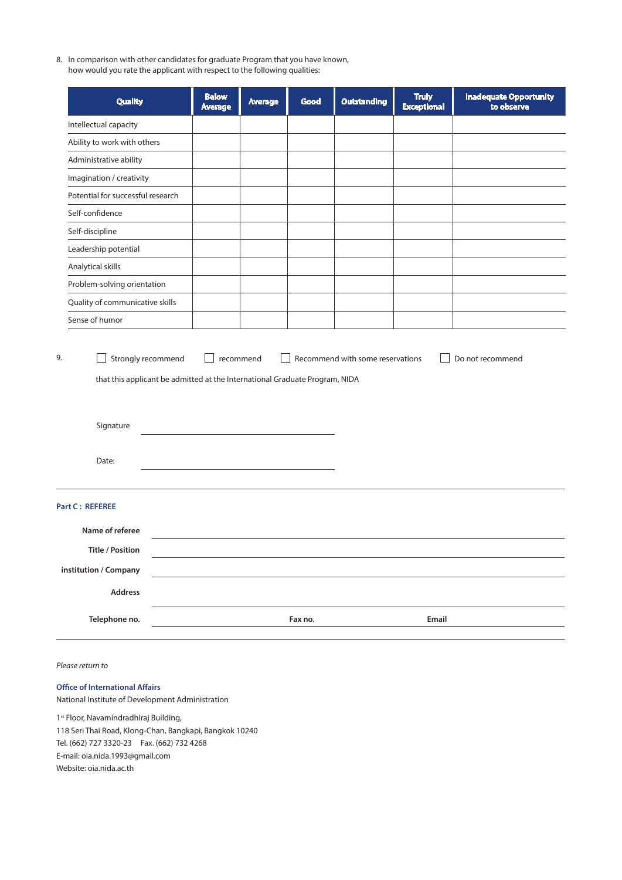8. In comparison with other candidates for graduate Program that you have known, how would you rate the applicant with respect to the following qualities:

| <b>Quality</b>                                                                           | <b>Below</b><br><b>Average</b> | <b>Average</b> | Good    | <b>Outstanding</b> | <b>Truly</b><br><b>Exceptional</b> | <b>Inadequate Opportunity</b><br>to observe |
|------------------------------------------------------------------------------------------|--------------------------------|----------------|---------|--------------------|------------------------------------|---------------------------------------------|
| Intellectual capacity                                                                    |                                |                |         |                    |                                    |                                             |
| Ability to work with others                                                              |                                |                |         |                    |                                    |                                             |
| Administrative ability                                                                   |                                |                |         |                    |                                    |                                             |
| Imagination / creativity                                                                 |                                |                |         |                    |                                    |                                             |
| Potential for successful research                                                        |                                |                |         |                    |                                    |                                             |
| Self-confidence                                                                          |                                |                |         |                    |                                    |                                             |
| Self-discipline                                                                          |                                |                |         |                    |                                    |                                             |
| Leadership potential                                                                     |                                |                |         |                    |                                    |                                             |
| Analytical skills                                                                        |                                |                |         |                    |                                    |                                             |
| Problem-solving orientation                                                              |                                |                |         |                    |                                    |                                             |
| Quality of communicative skills                                                          |                                |                |         |                    |                                    |                                             |
| Sense of humor                                                                           |                                |                |         |                    |                                    |                                             |
| that this applicant be admitted at the International Graduate Program, NIDA<br>Signature |                                |                |         |                    |                                    |                                             |
| Date:                                                                                    |                                |                |         |                    |                                    |                                             |
| <b>Part C: REFEREE</b>                                                                   |                                |                |         |                    |                                    |                                             |
| Name of referee                                                                          |                                |                |         |                    |                                    |                                             |
| <b>Title / Position</b>                                                                  |                                |                |         |                    |                                    |                                             |
| institution / Company                                                                    |                                |                |         |                    |                                    |                                             |
| <b>Address</b>                                                                           |                                |                |         |                    |                                    |                                             |
| Telephone no.                                                                            |                                |                | Fax no. |                    | Email                              |                                             |

*Please return to*

# **Office of International Affairs**

National Institute of Development Administration

1st Floor, Navamindradhiraj Building,

118 Seri Thai Road, Klong-Chan, Bangkapi, Bangkok 10240 Tel. (662) 727 3320-23 Fax. (662) 732 4268

E-mail: oia.nida.1993@gmail.com

Website: oia.nida.ac.th